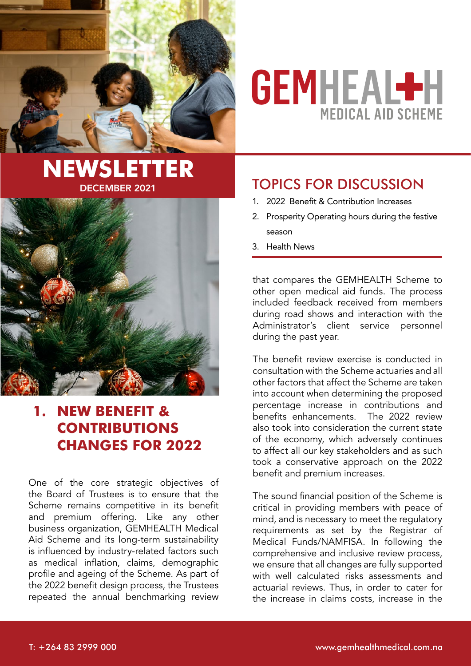

# **GEMHEAL+H MEDICAL AID SCHEME**

# **NEWSLETTER** DECEMBER 2021



# **1. NEW BENEFIT & CONTRIBUTIONS CHANGES FOR 2022**

One of the core strategic objectives of the Board of Trustees is to ensure that the Scheme remains competitive in its benefit and premium offering. Like any other business organization, GEMHEALTH Medical Aid Scheme and its long-term sustainability is influenced by industry-related factors such as medical inflation, claims, demographic profile and ageing of the Scheme. As part of the 2022 benefit design process, the Trustees repeated the annual benchmarking review

# Topics for discussion

- 1. 2022 Benefit & Contribution Increases
- 2. Prosperity Operating hours during the festive season
- 3. Health News

that compares the GEMHEALTH Scheme to other open medical aid funds. The process included feedback received from members during road shows and interaction with the Administrator's client service personnel during the past year.

The benefit review exercise is conducted in consultation with the Scheme actuaries and all other factors that affect the Scheme are taken into account when determining the proposed percentage increase in contributions and benefits enhancements. The 2022 review also took into consideration the current state of the economy, which adversely continues to affect all our key stakeholders and as such took a conservative approach on the 2022 benefit and premium increases.

The sound financial position of the Scheme is critical in providing members with peace of mind, and is necessary to meet the regulatory requirements as set by the Registrar of Medical Funds/NAMFISA. In following the comprehensive and inclusive review process, we ensure that all changes are fully supported with well calculated risks assessments and actuarial reviews. Thus, in order to cater for the increase in claims costs, increase in the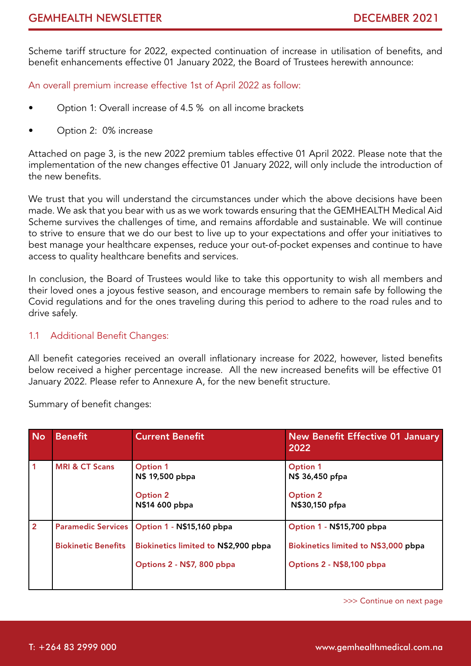Scheme tariff structure for 2022, expected continuation of increase in utilisation of benefits, and benefit enhancements effective 01 January 2022, the Board of Trustees herewith announce:

An overall premium increase effective 1st of April 2022 as follow:

- Option 1: Overall increase of 4.5 % on all income brackets
- Option 2: 0% increase

Attached on page 3, is the new 2022 premium tables effective 01 April 2022. Please note that the implementation of the new changes effective 01 January 2022, will only include the introduction of the new benefits.

We trust that you will understand the circumstances under which the above decisions have been made. We ask that you bear with us as we work towards ensuring that the GEMHEALTH Medical Aid Scheme survives the challenges of time, and remains affordable and sustainable. We will continue to strive to ensure that we do our best to live up to your expectations and offer your initiatives to best manage your healthcare expenses, reduce your out-of-pocket expenses and continue to have access to quality healthcare benefits and services.

In conclusion, the Board of Trustees would like to take this opportunity to wish all members and their loved ones a joyous festive season, and encourage members to remain safe by following the Covid regulations and for the ones traveling during this period to adhere to the road rules and to drive safely.

1.1 Additional Benefit Changes:

All benefit categories received an overall inflationary increase for 2022, however, listed benefits below received a higher percentage increase. All the new increased benefits will be effective 01 January 2022. Please refer to Annexure A, for the new benefit structure.

Summary of benefit changes:

| <b>No</b>      | <b>Benefit</b>                                          | <b>Current Benefit</b>                                                                          | <b>New Benefit Effective 01 January</b><br>2022                                                |
|----------------|---------------------------------------------------------|-------------------------------------------------------------------------------------------------|------------------------------------------------------------------------------------------------|
| 1              | <b>MRI &amp; CT Scans</b>                               | <b>Option 1</b><br>N\$ 19,500 pbpa<br><b>Option 2</b><br>N\$14 600 pbpa                         | <b>Option 1</b><br>N\$ 36,450 pfpa<br><b>Option 2</b><br>N\$30,150 pfpa                        |
| $\overline{2}$ | <b>Paramedic Services</b><br><b>Biokinetic Benefits</b> | Option 1 - N\$15,160 pbpa<br>Biokinetics limited to N\$2,900 pbpa<br>Options 2 - N\$7, 800 pbpa | Option 1 - N\$15,700 pbpa<br>Biokinetics limited to N\$3,000 pbpa<br>Options 2 - N\$8,100 pbpa |

>>> Continue on next page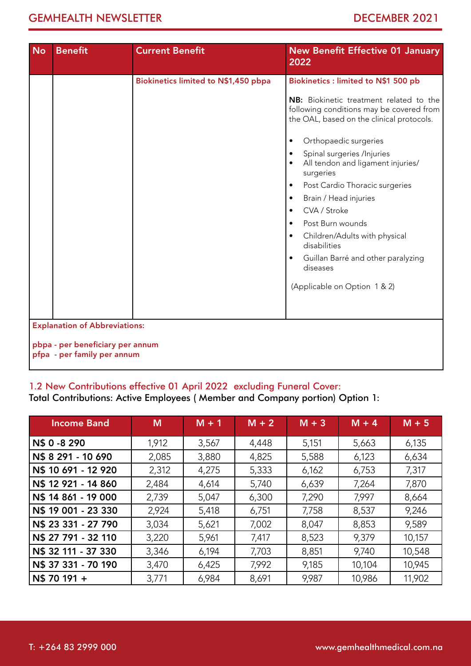| <b>No</b> | <b>Benefit</b>                                                                                          | <b>Current Benefit</b>               | <b>New Benefit Effective 01 January</b><br>2022                                                                                                                                                                                                                                                                                                                                                                                                                                                                                                                                      |
|-----------|---------------------------------------------------------------------------------------------------------|--------------------------------------|--------------------------------------------------------------------------------------------------------------------------------------------------------------------------------------------------------------------------------------------------------------------------------------------------------------------------------------------------------------------------------------------------------------------------------------------------------------------------------------------------------------------------------------------------------------------------------------|
|           |                                                                                                         | Biokinetics limited to N\$1,450 pbpa | Biokinetics : limited to N\$1 500 pb<br>NB: Biokinetic treatment related to the<br>following conditions may be covered from<br>the OAL, based on the clinical protocols.<br>Orthopaedic surgeries<br>$\bullet$<br>Spinal surgeries /Injuries<br>All tendon and ligament injuries/<br>surgeries<br>Post Cardio Thoracic surgeries<br>$\bullet$<br>Brain / Head injuries<br>$\bullet$<br>CVA / Stroke<br>$\bullet$<br>Post Burn wounds<br>Children/Adults with physical<br>$\bullet$<br>disabilities<br>Guillan Barré and other paralyzing<br>diseases<br>(Applicable on Option 1 & 2) |
|           | <b>Explanation of Abbreviations:</b><br>pbpa - per beneficiary per annum<br>pfpa - per family per annum |                                      |                                                                                                                                                                                                                                                                                                                                                                                                                                                                                                                                                                                      |

# 1.2 New Contributions effective 01 April 2022 excluding Funeral Cover:

Total Contributions: Active Employees ( Member and Company portion) Option 1:

| <b>Income Band</b>  | M     | $M + 1$ | $M + 2$ | $M + 3$ | $M + 4$ | $M + 5$ |
|---------------------|-------|---------|---------|---------|---------|---------|
| N\$ 0 -8 290        | 1,912 | 3,567   | 4,448   | 5,151   | 5,663   | 6,135   |
| N\$ 8 291 - 10 690  | 2,085 | 3,880   | 4,825   | 5,588   | 6,123   | 6,634   |
| N\$ 10 691 - 12 920 | 2,312 | 4,275   | 5,333   | 6,162   | 6,753   | 7,317   |
| N\$ 12 921 - 14 860 | 2,484 | 4,614   | 5,740   | 6,639   | 7,264   | 7,870   |
| N\$ 14 861 - 19 000 | 2,739 | 5,047   | 6,300   | 7,290   | 7,997   | 8,664   |
| N\$ 19 001 - 23 330 | 2,924 | 5,418   | 6,751   | 7,758   | 8,537   | 9,246   |
| N\$ 23 331 - 27 790 | 3,034 | 5,621   | 7,002   | 8,047   | 8,853   | 9,589   |
| N\$ 27 791 - 32 110 | 3,220 | 5,961   | 7,417   | 8,523   | 9,379   | 10,157  |
| N\$ 32 111 - 37 330 | 3,346 | 6,194   | 7,703   | 8,851   | 9,740   | 10,548  |
| N\$ 37 331 - 70 190 | 3,470 | 6,425   | 7,992   | 9,185   | 10,104  | 10,945  |
| N\$ 70 191 +        | 3,771 | 6,984   | 8,691   | 9,987   | 10,986  | 11,902  |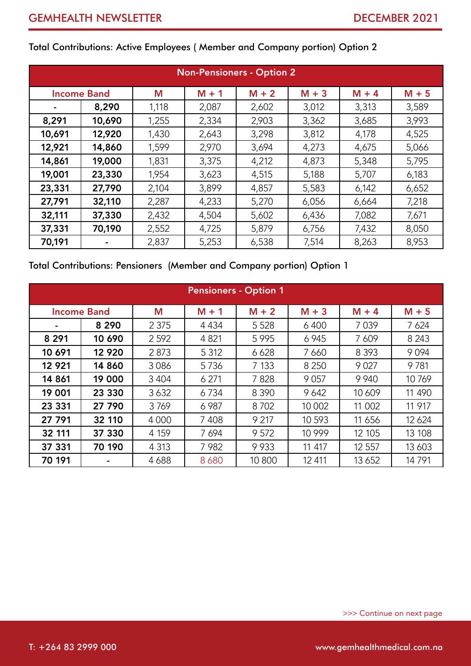| <b>Non-Pensioners - Option 2</b> |                    |       |         |         |         |         |         |
|----------------------------------|--------------------|-------|---------|---------|---------|---------|---------|
|                                  | <b>Income Band</b> | M     | $M + 1$ | $M + 2$ | $M + 3$ | $M + 4$ | $M + 5$ |
|                                  | 8,290              | 1,118 | 2,087   | 2,602   | 3,012   | 3,313   | 3,589   |
| 8,291                            | 10,690             | 1,255 | 2,334   | 2,903   | 3,362   | 3,685   | 3,993   |
| 10,691                           | 12,920             | 1,430 | 2,643   | 3,298   | 3,812   | 4,178   | 4,525   |
| 12,921                           | 14,860             | 1,599 | 2,970   | 3,694   | 4,273   | 4,675   | 5,066   |
| 14,861                           | 19,000             | 1,831 | 3,375   | 4,212   | 4,873   | 5,348   | 5,795   |
| 19,001                           | 23,330             | 1,954 | 3,623   | 4,515   | 5,188   | 5,707   | 6,183   |
| 23,331                           | 27,790             | 2,104 | 3,899   | 4,857   | 5,583   | 6,142   | 6,652   |
| 27,791                           | 32,110             | 2,287 | 4,233   | 5,270   | 6,056   | 6,664   | 7,218   |
| 32,111                           | 37,330             | 2,432 | 4,504   | 5,602   | 6,436   | 7,082   | 7,671   |
| 37,331                           | 70,190             | 2,552 | 4,725   | 5,879   | 6,756   | 7,432   | 8,050   |
| 70,191                           |                    | 2,837 | 5,253   | 6,538   | 7,514   | 8,263   | 8,953   |

Total Contributions: Active Employees ( Member and Company portion) Option 2

## Total Contributions: Pensioners (Member and Company portion) Option 1

| <b>Pensioners - Option 1</b> |                    |         |         |         |          |         |         |
|------------------------------|--------------------|---------|---------|---------|----------|---------|---------|
|                              | <b>Income Band</b> | M       | $M + 1$ | $M + 2$ | $M + 3$  | $M + 4$ | $M + 5$ |
|                              | 8 2 9 0            | 2 3 7 5 | 4 4 3 4 | 5 5 28  | 6400     | 7 0 3 9 | 7 6 24  |
| 8 2 9 1                      | 10 690             | 2 5 9 2 | 4 8 21  | 5 9 9 5 | 6 9 4 5  | 7 609   | 8 2 4 3 |
| 10 691                       | 12 9 20            | 2873    | 5 3 1 2 | 6 6 28  | 7 6 6 0  | 8 3 9 3 | 9094    |
| 12 9 21                      | 14 860             | 3086    | 5736    | 7 1 3 3 | 8 2 5 0  | 9 0 27  | 9781    |
| 14 861                       | 19 000             | 3 4 0 4 | 6 2 7 1 | 7828    | 9057     | 9 9 4 0 | 10769   |
| 19 001                       | 23 330             | 3632    | 6734    | 8 3 9 0 | 9642     | 10 609  | 11 490  |
| 23 331                       | 27 790             | 3769    | 6 9 87  | 8702    | 10 002   | 11 002  | 11 917  |
| 27 791                       | 32 110             | 4 0 0 0 | 7408    | 9 2 1 7 | 10 593   | 11 656  | 12 6 24 |
| 32 111                       | 37 330             | 4 1 5 9 | 7694    | 9572    | 10 9 9 9 | 12 105  | 13 108  |
| 37 331                       | 70 190             | 4 3 1 3 | 7982    | 9933    | 11 417   | 12 5 57 | 13 603  |
| 70 191                       | ۰                  | 4688    | 8680    | 10 800  | 12 411   | 13 6 52 | 14791   |

>>> Continue on next page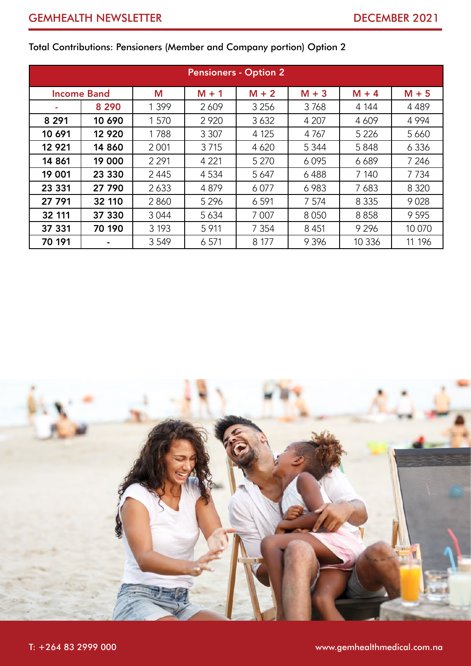| <b>Pensioners - Option 2</b> |                    |         |         |         |         |         |         |
|------------------------------|--------------------|---------|---------|---------|---------|---------|---------|
|                              | <b>Income Band</b> | M       | $M + 1$ | $M + 2$ | $M + 3$ | $M + 4$ | $M + 5$ |
|                              | 8 2 9 0            | 1 3 9 9 | 2609    | 3 2 5 6 | 3768    | 4 144   | 4 4 8 9 |
| 8 2 9 1                      | 10 690             | 1 570   | 2 9 2 0 | 3632    | 4 207   | 4 609   | 4 9 9 4 |
| 10 691                       | 12 9 20            | 1788    | 3 3 0 7 | 4 1 2 5 | 4 7 6 7 | 5 2 2 6 | 5 6 6 0 |
| 12 9 21                      | 14 860             | 2 0 0 1 | 3715    | 4 6 20  | 5 3 4 4 | 5848    | 6 3 3 6 |
| 14 861                       | 19 000             | 2 2 9 1 | 4 2 2 1 | 5 2 7 0 | 6095    | 6689    | 7 2 4 6 |
| 19 001                       | 23 330             | 2 4 4 5 | 4 5 3 4 | 5 6 4 7 | 6488    | 7 140   | 7 7 3 4 |
| 23 331                       | 27 790             | 2633    | 4879    | 6077    | 6983    | 7683    | 8 3 2 0 |
| 27 791                       | 32 110             | 2860    | 5 2 9 6 | 6 5 9 1 | 7 5 7 4 | 8 3 3 5 | 9028    |
| 32 111                       | 37 330             | 3044    | 5634    | 7 0 0 7 | 8050    | 8858    | 9 5 9 5 |
| 37 331                       | 70 190             | 3 1 9 3 | 5 9 1 1 | 7 3 5 4 | 8 4 5 1 | 9 2 9 6 | 10 070  |
| 70 191                       |                    | 3 5 4 9 | 6 5 7 1 | 8 177   | 9 3 9 6 | 10 3 36 | 11 196  |

# Total Contributions: Pensioners (Member and Company portion) Option 2

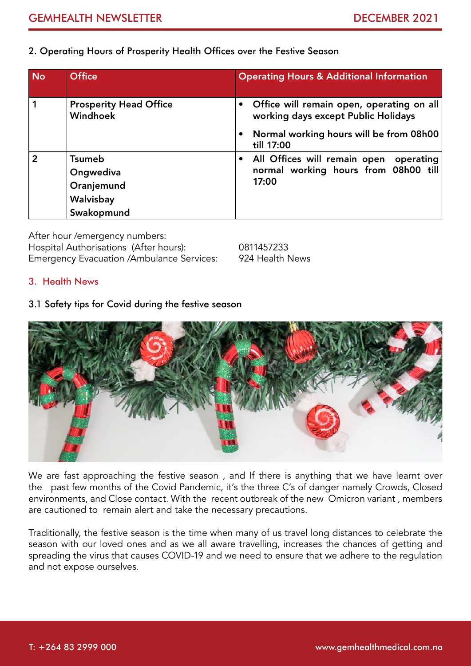## 2. Operating Hours of Prosperity Health Offices over the Festive Season

| <b>No</b>      | <b>Office</b>                                                       | <b>Operating Hours &amp; Additional Information</b>                                                                                       |
|----------------|---------------------------------------------------------------------|-------------------------------------------------------------------------------------------------------------------------------------------|
| 1              | <b>Prosperity Head Office</b><br>Windhoek                           | Office will remain open, operating on all<br>working days except Public Holidays<br>Normal working hours will be from 08h00<br>till 17:00 |
| $\overline{2}$ | <b>Tsumeb</b><br>Ongwediva<br>Oranjemund<br>Walvisbay<br>Swakopmund | All Offices will remain open operating<br>normal working hours from 08h00 till<br>17:00                                                   |

After hour /emergency numbers: Hospital Authorisations (After hours): 0811457233 Emergency Evacuation /Ambulance Services: 924 Health News

## 3. Health News

## 3.1 Safety tips for Covid during the festive season



We are fast approaching the festive season , and If there is anything that we have learnt over the past few months of the Covid Pandemic, it's the three C's of danger namely Crowds, Closed environments, and Close contact. With the recent outbreak of the new Omicron variant , members are cautioned to remain alert and take the necessary precautions.

Traditionally, the festive season is the time when many of us travel long distances to celebrate the season with our loved ones and as we all aware travelling, increases the chances of getting and spreading the virus that causes COVID-19 and we need to ensure that we adhere to the regulation and not expose ourselves.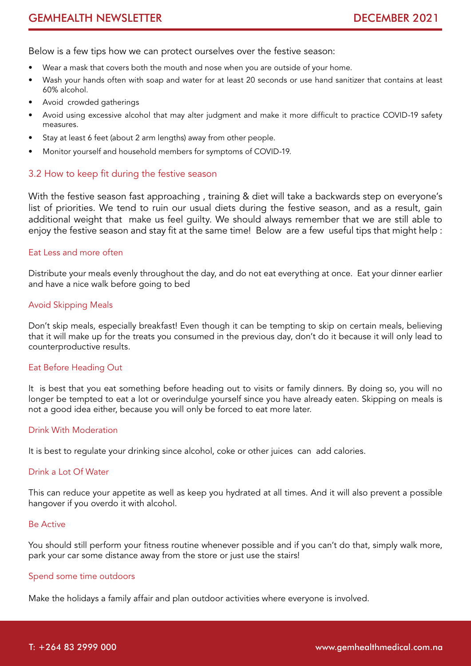Below is a few tips how we can protect ourselves over the festive season:

- Wear a mask that covers both the mouth and nose when you are outside of your home.
- Wash your hands often with soap and water for at least 20 seconds or use hand sanitizer that contains at least 60% alcohol.
- Avoid crowded gatherings
- Avoid using excessive alcohol that may alter judgment and make it more difficult to practice COVID-19 safety measures.
- Stay at least 6 feet (about 2 arm lengths) away from other people.
- Monitor yourself and household members for symptoms of COVID-19.

## 3.2 How to keep fit during the festive season

With the festive season fast approaching , training & diet will take a backwards step on everyone's list of priorities. We tend to ruin our usual diets during the festive season, and as a result, gain additional weight that make us feel guilty. We should always remember that we are still able to enjoy the festive season and stay fit at the same time! Below are a few useful tips that might help :

## Eat Less and more often

Distribute your meals evenly throughout the day, and do not eat everything at once. Eat your dinner earlier and have a nice walk before going to bed

#### Avoid Skipping Meals

Don't skip meals, especially breakfast! Even though it can be tempting to skip on certain meals, believing that it will make up for the treats you consumed in the previous day, don't do it because it will only lead to counterproductive results.

## Eat Before Heading Out

It is best that you eat something before heading out to visits or family dinners. By doing so, you will no longer be tempted to eat a lot or overindulge yourself since you have already eaten. Skipping on meals is not a good idea either, because you will only be forced to eat more later.

## Drink With Moderation

It is best to regulate your drinking since alcohol, coke or other juices can add calories.

#### Drink a Lot Of Water

This can reduce your appetite as well as keep you hydrated at all times. And it will also prevent a possible hangover if you overdo it with alcohol.

#### Be Active

You should still perform your fitness routine whenever possible and if you can't do that, simply walk more, park your car some distance away from the store or just use the stairs!

## Spend some time outdoors

Make the holidays a family affair and plan outdoor activities where everyone is involved.